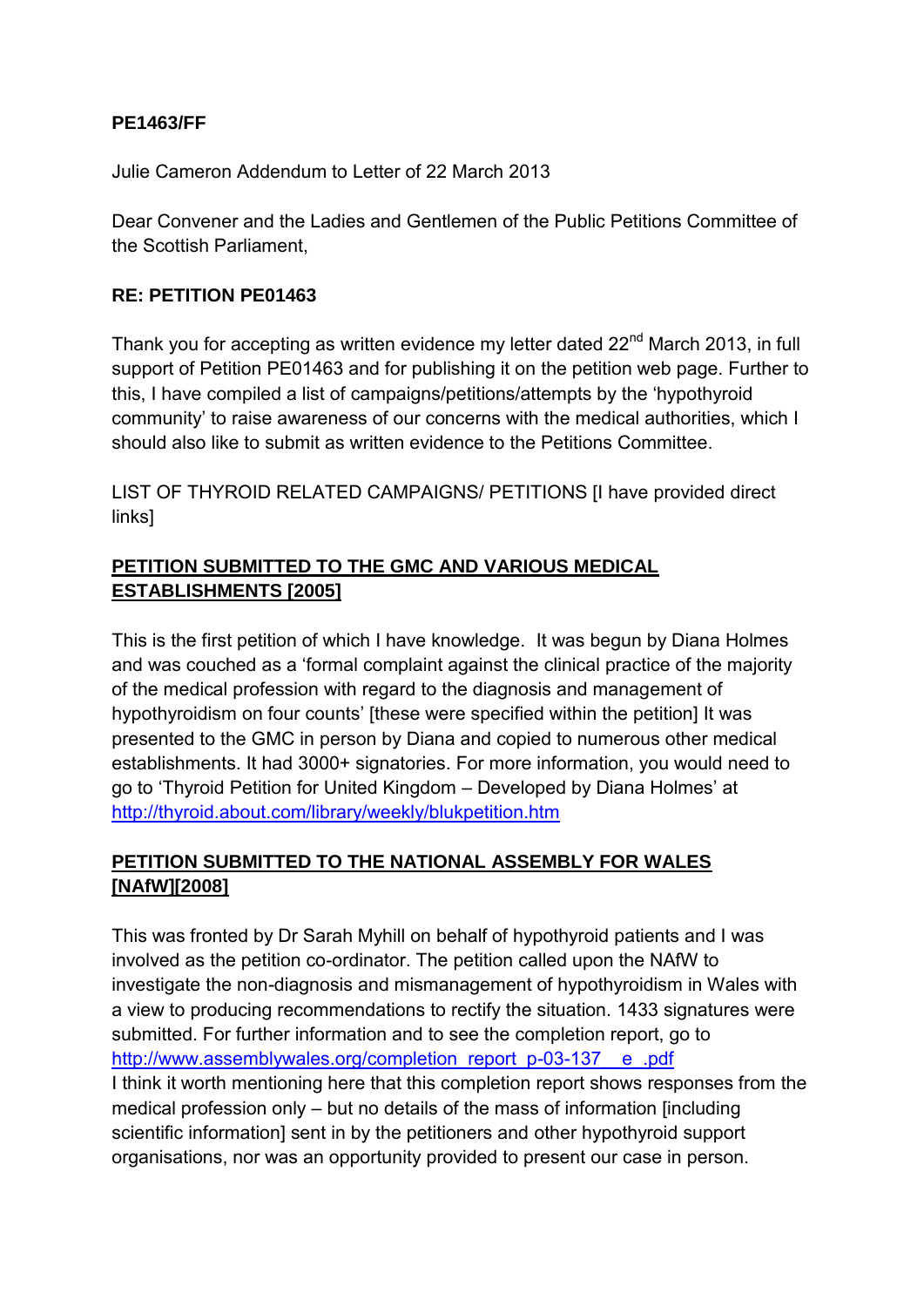#### **PE1463/FF**

Julie Cameron Addendum to Letter of 22 March 2013

Dear Convener and the Ladies and Gentlemen of the Public Petitions Committee of the Scottish Parliament,

#### **RE: PETITION PE01463**

Thank you for accepting as written evidence my letter dated 22<sup>nd</sup> March 2013, in full support of Petition PE01463 and for publishing it on the petition web page. Further to this, I have compiled a list of campaigns/petitions/attempts by the 'hypothyroid community' to raise awareness of our concerns with the medical authorities, which I should also like to submit as written evidence to the Petitions Committee.

LIST OF THYROID RELATED CAMPAIGNS/ PETITIONS [I have provided direct links]

### **PETITION SUBMITTED TO THE GMC AND VARIOUS MEDICAL ESTABLISHMENTS [2005]**

This is the first petition of which I have knowledge. It was begun by Diana Holmes and was couched as a 'formal complaint against the clinical practice of the majority of the medical profession with regard to the diagnosis and management of hypothyroidism on four counts' [these were specified within the petition] It was presented to the GMC in person by Diana and copied to numerous other medical establishments. It had 3000+ signatories. For more information, you would need to go to 'Thyroid Petition for United Kingdom – Developed by Diana Holmes' at <http://thyroid.about.com/library/weekly/blukpetition.htm>

## **PETITION SUBMITTED TO THE NATIONAL ASSEMBLY FOR WALES [NAfW][2008]**

This was fronted by Dr Sarah Myhill on behalf of hypothyroid patients and I was involved as the petition co-ordinator. The petition called upon the NAfW to investigate the non-diagnosis and mismanagement of hypothyroidism in Wales with a view to producing recommendations to rectify the situation. 1433 signatures were submitted. For further information and to see the completion report, go to http://www.assemblywales.org/completion\_report\_p-03-137\_\_e\_.pdf I think it worth mentioning here that this completion report shows responses from the medical profession only – but no details of the mass of information [including scientific information] sent in by the petitioners and other hypothyroid support organisations, nor was an opportunity provided to present our case in person.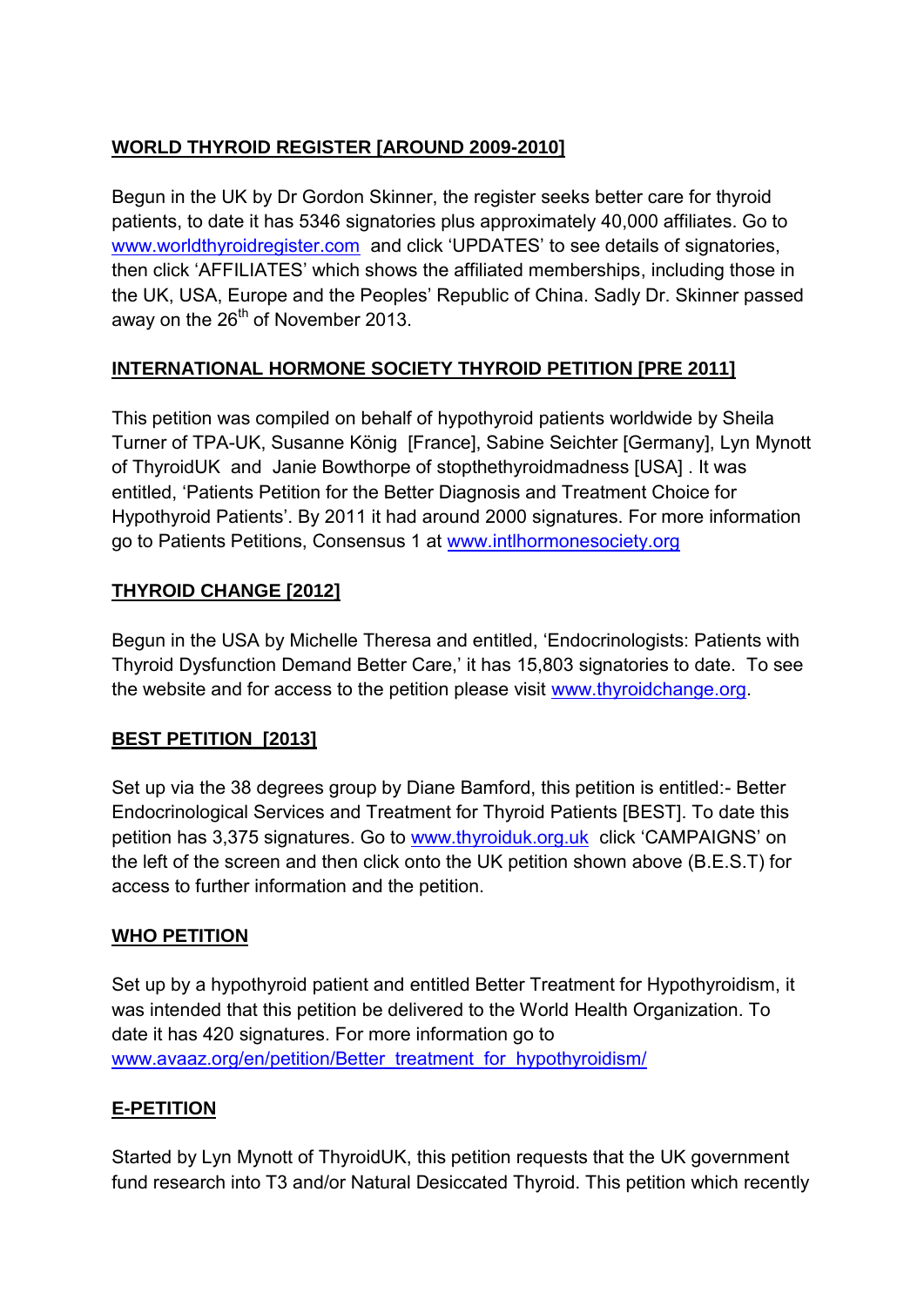# **WORLD THYROID REGISTER [AROUND 2009-2010]**

Begun in the UK by Dr Gordon Skinner, the register seeks better care for thyroid patients, to date it has 5346 signatories plus approximately 40,000 affiliates. Go to [www.worldthyroidregister.com](http://www.worldthyroidregister.com/) and click 'UPDATES' to see details of signatories, then click 'AFFILIATES' which shows the affiliated memberships, including those in the UK, USA, Europe and the Peoples' Republic of China. Sadly Dr. Skinner passed away on the 26<sup>th</sup> of November 2013.

## **INTERNATIONAL HORMONE SOCIETY THYROID PETITION [PRE 2011]**

This petition was compiled on behalf of hypothyroid patients worldwide by Sheila Turner of TPA-UK, Susanne Kӧnig [France], Sabine Seichter [Germany], Lyn Mynott of ThyroidUK and Janie Bowthorpe of stopthethyroidmadness [USA] . It was entitled, 'Patients Petition for the Better Diagnosis and Treatment Choice for Hypothyroid Patients'. By 2011 it had around 2000 signatures. For more information go to Patients Petitions, Consensus 1 at [www.intlhormonesociety.org](http://www.intlhormonesociety.org/)

### **THYROID CHANGE [2012]**

Begun in the USA by Michelle Theresa and entitled, 'Endocrinologists: Patients with Thyroid Dysfunction Demand Better Care,' it has 15,803 signatories to date. To see the website and for access to the petition please visit [www.thyroidchange.org.](http://www.thyroidchange.org/)

### **BEST PETITION [2013]**

Set up via the 38 degrees group by Diane Bamford, this petition is entitled:- Better Endocrinological Services and Treatment for Thyroid Patients [BEST]. To date this petition has 3,375 signatures. Go to [www.thyroiduk.org.uk](http://www.thyroiduk.org.uk/) click 'CAMPAIGNS' on the left of the screen and then click onto the UK petition shown above (B.E.S.T) for access to further information and the petition.

### **WHO PETITION**

Set up by a hypothyroid patient and entitled Better Treatment for Hypothyroidism, it was intended that this petition be delivered to the World Health Organization. To date it has 420 signatures. For more information go to [www.avaaz.org/en/petition/Better\\_treatment\\_for\\_hypothyroidism/](http://www.avaaz.org/en/petition/Better_treatment_for_hypothyroidism/)

### **E-PETITION**

Started by Lyn Mynott of ThyroidUK, this petition requests that the UK government fund research into T3 and/or Natural Desiccated Thyroid. This petition which recently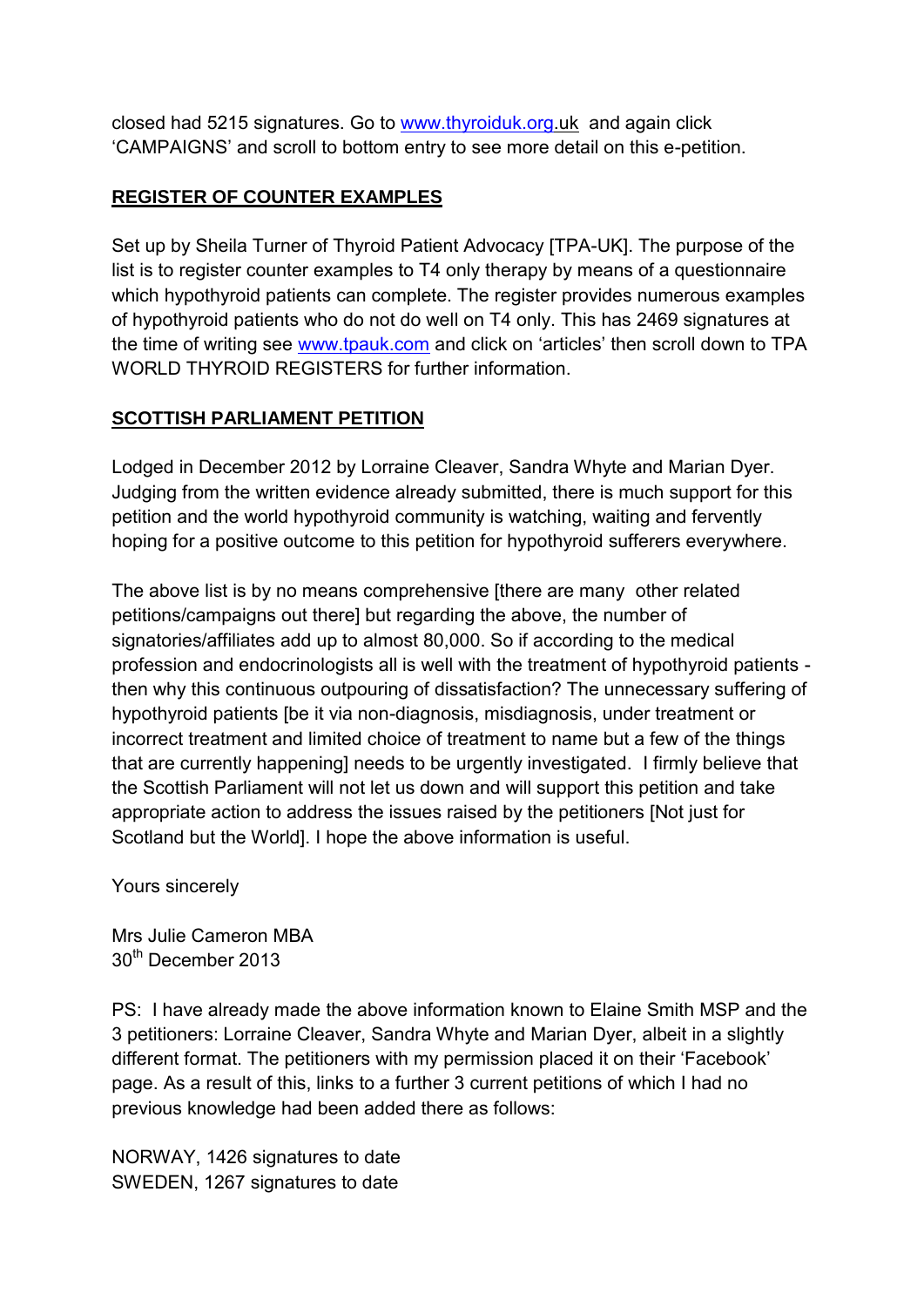closed had 5215 signatures. Go to [www.thyroiduk.org.](http://www.thyroiduk.org/)uk and again click 'CAMPAIGNS' and scroll to bottom entry to see more detail on this e-petition.

### **REGISTER OF COUNTER EXAMPLES**

Set up by Sheila Turner of Thyroid Patient Advocacy [TPA-UK]. The purpose of the list is to register counter examples to T4 only therapy by means of a questionnaire which hypothyroid patients can complete. The register provides numerous examples of hypothyroid patients who do not do well on T4 only. This has 2469 signatures at the time of writing see [www.tpauk.com](http://www.tpauk.com/) and click on 'articles' then scroll down to TPA WORLD THYROID REGISTERS for further information.

#### **SCOTTISH PARLIAMENT PETITION**

Lodged in December 2012 by Lorraine Cleaver, Sandra Whyte and Marian Dyer. Judging from the written evidence already submitted, there is much support for this petition and the world hypothyroid community is watching, waiting and fervently hoping for a positive outcome to this petition for hypothyroid sufferers everywhere.

The above list is by no means comprehensive [there are many other related petitions/campaigns out there] but regarding the above, the number of signatories/affiliates add up to almost 80,000. So if according to the medical profession and endocrinologists all is well with the treatment of hypothyroid patients then why this continuous outpouring of dissatisfaction? The unnecessary suffering of hypothyroid patients [be it via non-diagnosis, misdiagnosis, under treatment or incorrect treatment and limited choice of treatment to name but a few of the things that are currently happening] needs to be urgently investigated. I firmly believe that the Scottish Parliament will not let us down and will support this petition and take appropriate action to address the issues raised by the petitioners [Not just for Scotland but the World]. I hope the above information is useful.

Yours sincerely

Mrs Julie Cameron MBA 30<sup>th</sup> December 2013

PS: I have already made the above information known to Elaine Smith MSP and the 3 petitioners: Lorraine Cleaver, Sandra Whyte and Marian Dyer, albeit in a slightly different format. The petitioners with my permission placed it on their 'Facebook' page. As a result of this, links to a further 3 current petitions of which I had no previous knowledge had been added there as follows:

NORWAY, 1426 signatures to date SWEDEN, 1267 signatures to date